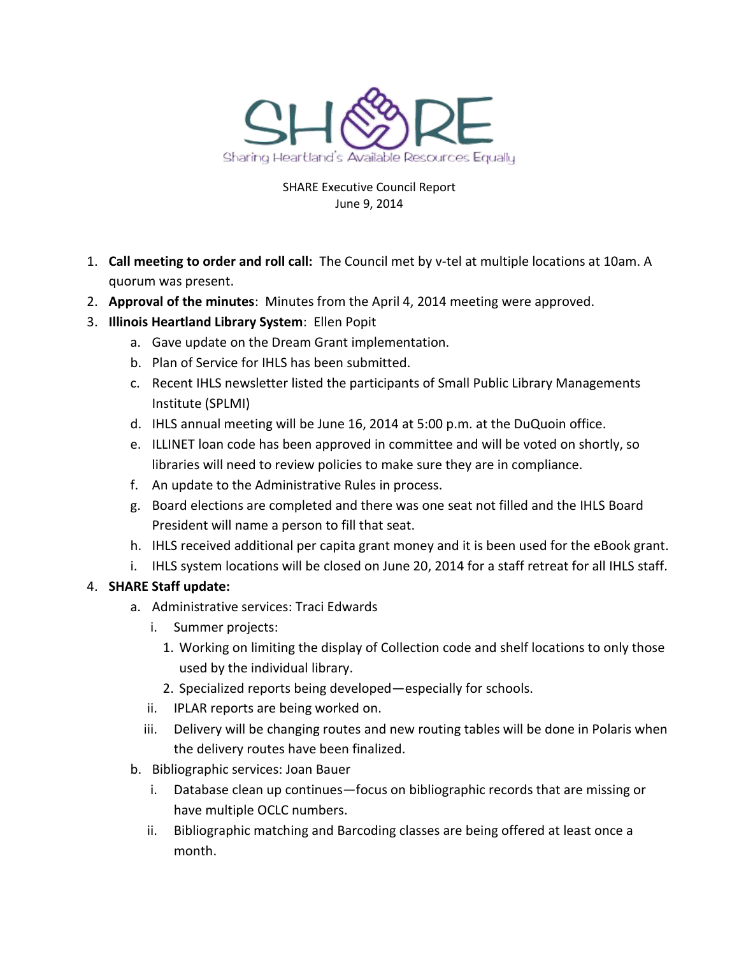

### SHARE Executive Council Report June 9, 2014

- 1. **Call meeting to order and roll call:** The Council met by v-tel at multiple locations at 10am. A quorum was present.
- 2. **Approval of the minutes**: Minutes from the April 4, 2014 meeting were approved.
- 3. **Illinois Heartland Library System**: Ellen Popit
	- a. Gave update on the Dream Grant implementation.
	- b. Plan of Service for IHLS has been submitted.
	- c. Recent IHLS newsletter listed the participants of Small Public Library Managements Institute (SPLMI)
	- d. IHLS annual meeting will be June 16, 2014 at 5:00 p.m. at the DuQuoin office.
	- e. ILLINET loan code has been approved in committee and will be voted on shortly, so libraries will need to review policies to make sure they are in compliance.
	- f. An update to the Administrative Rules in process.
	- g. Board elections are completed and there was one seat not filled and the IHLS Board President will name a person to fill that seat.
	- h. IHLS received additional per capita grant money and it is been used for the eBook grant.
	- i. IHLS system locations will be closed on June 20, 2014 for a staff retreat for all IHLS staff.

# 4. **SHARE Staff update:**

- a. Administrative services: Traci Edwards
	- i. Summer projects:
		- 1. Working on limiting the display of Collection code and shelf locations to only those used by the individual library.
		- 2. Specialized reports being developed—especially for schools.
	- ii. IPLAR reports are being worked on.
	- iii. Delivery will be changing routes and new routing tables will be done in Polaris when the delivery routes have been finalized.
- b. Bibliographic services: Joan Bauer
	- i. Database clean up continues—focus on bibliographic records that are missing or have multiple OCLC numbers.
	- ii. Bibliographic matching and Barcoding classes are being offered at least once a month.